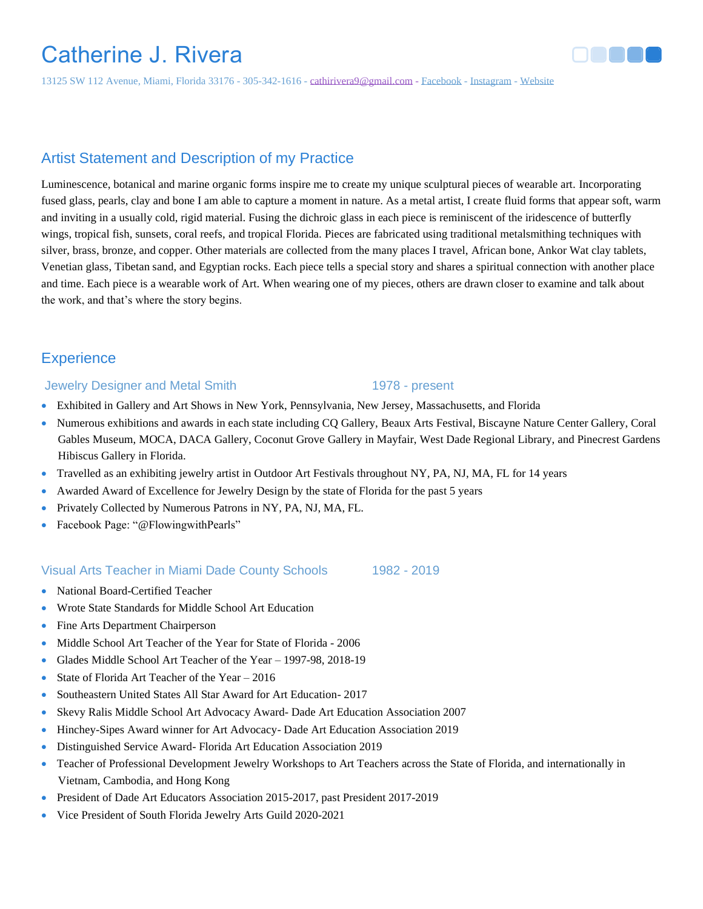# Catherine J. Rivera

13125 SW 112 Avenue, Miami, Florida 33176 - 305-342-1616 - [cathirivera9@gmail.com](mailto:cathirivera9@gmail.com) - [Facebook](https://www.facebook.com/Flowingwithpearls) - [Instagram](https://instagram.com/Flowingwithpearls) - [Website](https://bit.ly/flowingwithpearls)

# Artist Statement and Description of my Practice

Luminescence, botanical and marine organic forms inspire me to create my unique sculptural pieces of wearable art. Incorporating fused glass, pearls, clay and bone I am able to capture a moment in nature. As a metal artist, I create fluid forms that appear soft, warm and inviting in a usually cold, rigid material. Fusing the dichroic glass in each piece is reminiscent of the iridescence of butterfly wings, tropical fish, sunsets, coral reefs, and tropical Florida. Pieces are fabricated using traditional metalsmithing techniques with silver, brass, bronze, and copper. Other materials are collected from the many places I travel, African bone, Ankor Wat clay tablets, Venetian glass, Tibetan sand, and Egyptian rocks. Each piece tells a special story and shares a spiritual connection with another place and time. Each piece is a wearable work of Art. When wearing one of my pieces, others are drawn closer to examine and talk about the work, and that's where the story begins.

# **Experience**

### Jewelry Designer and Metal Smith 1978 - present

- Exhibited in Gallery and Art Shows in New York, Pennsylvania, New Jersey, Massachusetts, and Florida
- Numerous exhibitions and awards in each state including CQ Gallery, Beaux Arts Festival, Biscayne Nature Center Gallery, Coral Gables Museum, MOCA, DACA Gallery, Coconut Grove Gallery in Mayfair, West Dade Regional Library, and Pinecrest Gardens Hibiscus Gallery in Florida.
- Travelled as an exhibiting jewelry artist in Outdoor Art Festivals throughout NY, PA, NJ, MA, FL for 14 years
- Awarded Award of Excellence for Jewelry Design by the state of Florida for the past 5 years
- Privately Collected by Numerous Patrons in NY, PA, NJ, MA, FL.
- Facebook Page: "@FlowingwithPearls"

### Visual Arts Teacher in Miami Dade County Schools 1982 - 2019

- National Board-Certified Teacher
- Wrote State Standards for Middle School Art Education
- Fine Arts Department Chairperson
- Middle School Art Teacher of the Year for State of Florida 2006
- Glades Middle School Art Teacher of the Year 1997-98, 2018-19
- State of Florida Art Teacher of the Year 2016
- Southeastern United States All Star Award for Art Education- 2017
- Skevy Ralis Middle School Art Advocacy Award- Dade Art Education Association 2007
- Hinchey-Sipes Award winner for Art Advocacy- Dade Art Education Association 2019
- Distinguished Service Award- Florida Art Education Association 2019
- Teacher of Professional Development Jewelry Workshops to Art Teachers across the State of Florida, and internationally in Vietnam, Cambodia, and Hong Kong
- President of Dade Art Educators Association 2015-2017, past President 2017-2019
- Vice President of South Florida Jewelry Arts Guild 2020-2021